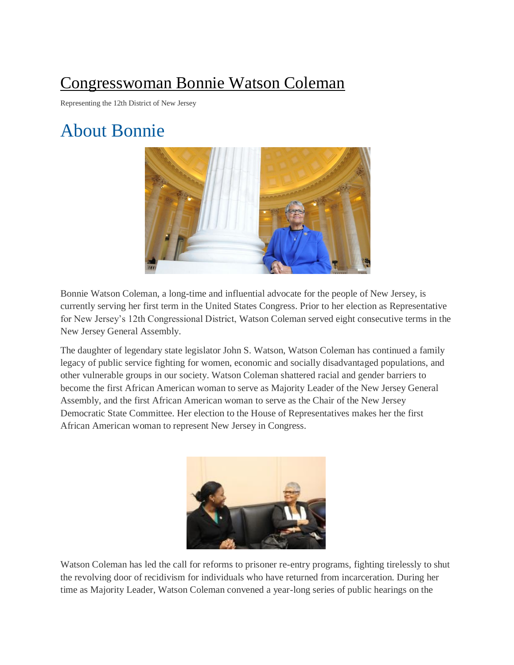## [Congresswoman Bonnie Watson Coleman](https://watsoncoleman.house.gov/)

Representing the 12th District of New Jersey

## About Bonnie



Bonnie Watson Coleman, a long-time and influential advocate for the people of New Jersey, is currently serving her first term in the United States Congress. Prior to her election as Representative for New Jersey's 12th Congressional District, Watson Coleman served eight consecutive terms in the New Jersey General Assembly.

The daughter of legendary state legislator John S. Watson, Watson Coleman has continued a family legacy of public service fighting for women, economic and socially disadvantaged populations, and other vulnerable groups in our society. Watson Coleman shattered racial and gender barriers to become the first African American woman to serve as Majority Leader of the New Jersey General Assembly, and the first African American woman to serve as the Chair of the New Jersey Democratic State Committee. Her election to the House of Representatives makes her the first African American woman to represent New Jersey in Congress.



Watson Coleman has led the call for reforms to prisoner re-entry programs, fighting tirelessly to shut the revolving door of recidivism for individuals who have returned from incarceration. During her time as Majority Leader, Watson Coleman convened a year-long series of public hearings on the